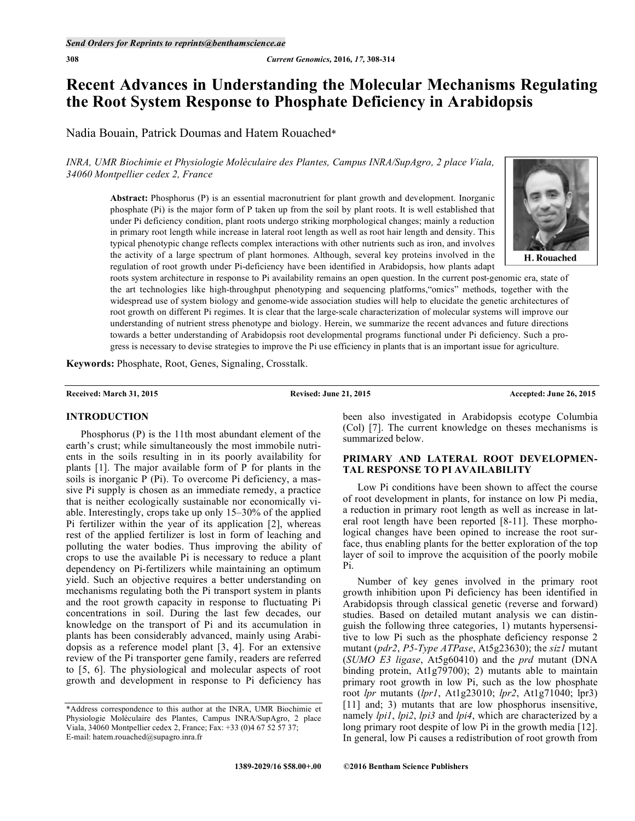# **Recent Advances in Understanding the Molecular Mechanisms Regulating the Root System Response to Phosphate Deficiency in Arabidopsis**

Nadia Bouain, Patrick Doumas and Hatem Rouached\*

*INRA, UMR Biochimie et Physiologie Moléculaire des Plantes, Campus INRA/SupAgro, 2 place Viala, 34060 Montpellier cedex 2, France* 

> **Abstract:** Phosphorus (P) is an essential macronutrient for plant growth and development. Inorganic phosphate (Pi) is the major form of P taken up from the soil by plant roots. It is well established that under Pi deficiency condition, plant roots undergo striking morphological changes; mainly a reduction in primary root length while increase in lateral root length as well as root hair length and density. This typical phenotypic change reflects complex interactions with other nutrients such as iron, and involves the activity of a large spectrum of plant hormones. Although, several key proteins involved in the regulation of root growth under Pi-deficiency have been identified in Arabidopsis, how plants adapt



H. Rouached

roots system architecture in response to Pi availability remains an open question. In the current post-genomic era, state of the art technologies like high-throughput phenotyping and sequencing platforms,"omics" methods, together with the widespread use of system biology and genome-wide association studies will help to elucidate the genetic architectures of root growth on different Pi regimes. It is clear that the large-scale characterization of molecular systems will improve our understanding of nutrient stress phenotype and biology. Herein, we summarize the recent advances and future directions towards a better understanding of Arabidopsis root developmental programs functional under Pi deficiency. Such a progress is necessary to devise strategies to improve the Pi use efficiency in plants that is an important issue for agriculture.

**Keywords:** Phosphate, Root, Genes, Signaling, Crosstalk.

**Received: March 31, 2015 Revised: June 21, 2015 Accepted: June 26, 2015** 

### **INTRODUCTION**

 Phosphorus (P) is the 11th most abundant element of the earth's crust; while simultaneously the most immobile nutrients in the soils resulting in in its poorly availability for plants [1]. The major available form of P for plants in the soils is inorganic P (Pi). To overcome Pi deficiency, a massive Pi supply is chosen as an immediate remedy, a practice that is neither ecologically sustainable nor economically viable. Interestingly, crops take up only 15–30% of the applied Pi fertilizer within the year of its application [2], whereas rest of the applied fertilizer is lost in form of leaching and polluting the water bodies. Thus improving the ability of crops to use the available Pi is necessary to reduce a plant dependency on Pi-fertilizers while maintaining an optimum yield. Such an objective requires a better understanding on mechanisms regulating both the Pi transport system in plants and the root growth capacity in response to fluctuating Pi concentrations in soil. During the last few decades, our knowledge on the transport of Pi and its accumulation in plants has been considerably advanced, mainly using Arabidopsis as a reference model plant [3, 4]. For an extensive review of the Pi transporter gene family, readers are referred to [5, 6]. The physiological and molecular aspects of root growth and development in response to Pi deficiency has

been also investigated in Arabidopsis ecotype Columbia (Col) [7]. The current knowledge on theses mechanisms is summarized below.

# **PRIMARY AND LATERAL ROOT DEVELOPMEN-TAL RESPONSE TO PI AVAILABILITY**

 Low Pi conditions have been shown to affect the course of root development in plants, for instance on low Pi media, a reduction in primary root length as well as increase in lateral root length have been reported [8-11]. These morphological changes have been opined to increase the root surface, thus enabling plants for the better exploration of the top layer of soil to improve the acquisition of the poorly mobile Pi.

 Number of key genes involved in the primary root growth inhibition upon Pi deficiency has been identified in Arabidopsis through classical genetic (reverse and forward) studies. Based on detailed mutant analysis we can distinguish the following three categories, 1) mutants hypersensitive to low Pi such as the phosphate deficiency response 2 mutant (*pdr2*, *P5-Type ATPase*, At5g23630); the *siz1* mutant (*SUMO E3 ligase*, At5g60410) and the *prd* mutant (DNA binding protein, At1g79700); 2) mutants able to maintain primary root growth in low Pi, such as the low phosphate root *lpr* mutants (*lpr1*, At1g23010; *lpr2*, At1g71040; lpr3) [11] and; 3) mutants that are low phosphorus insensitive, namely *lpi1*, *lpi2*, *lpi3* and *lpi4*, which are characterized by a long primary root despite of low Pi in the growth media [12]. In general, low Pi causes a redistribution of root growth from

<sup>\*</sup>Address correspondence to this author at the INRA, UMR Biochimie et Physiologie Moléculaire des Plantes, Campus INRA/SupAgro, 2 place Viala, 34060 Montpellier cedex 2, France; Fax: +33 (0)4 67 52 57 37; E-mail: hatem.rouached@supagro.inra.fr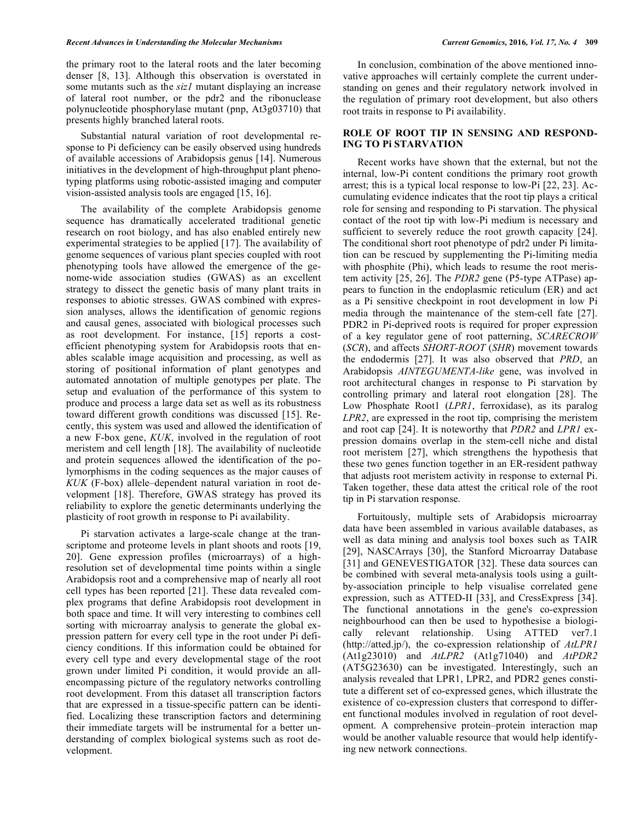the primary root to the lateral roots and the later becoming denser [8, 13]. Although this observation is overstated in some mutants such as the *siz1* mutant displaying an increase of lateral root number, or the pdr2 and the ribonuclease polynucleotide phosphorylase mutant (pnp, At3g03710) that presents highly branched lateral roots.

 Substantial natural variation of root developmental response to Pi deficiency can be easily observed using hundreds of available accessions of Arabidopsis genus [14]. Numerous initiatives in the development of high-throughput plant phenotyping platforms using robotic-assisted imaging and computer vision-assisted analysis tools are engaged [15, 16].

 The availability of the complete Arabidopsis genome sequence has dramatically accelerated traditional genetic research on root biology, and has also enabled entirely new experimental strategies to be applied [17]. The availability of genome sequences of various plant species coupled with root phenotyping tools have allowed the emergence of the genome-wide association studies (GWAS) as an excellent strategy to dissect the genetic basis of many plant traits in responses to abiotic stresses. GWAS combined with expression analyses, allows the identification of genomic regions and causal genes, associated with biological processes such as root development. For instance, [15] reports a costefficient phenotyping system for Arabidopsis roots that enables scalable image acquisition and processing, as well as storing of positional information of plant genotypes and automated annotation of multiple genotypes per plate. The setup and evaluation of the performance of this system to produce and process a large data set as well as its robustness toward different growth conditions was discussed [15]. Recently, this system was used and allowed the identification of a new F-box gene, *KUK*, involved in the regulation of root meristem and cell length [18]. The availability of nucleotide and protein sequences allowed the identification of the polymorphisms in the coding sequences as the major causes of *KUK* (F-box) allele–dependent natural variation in root development [18]. Therefore, GWAS strategy has proved its reliability to explore the genetic determinants underlying the plasticity of root growth in response to Pi availability.

 Pi starvation activates a large-scale change at the transcriptome and proteome levels in plant shoots and roots [19, 20]. Gene expression profiles (microarrays) of a highresolution set of developmental time points within a single Arabidopsis root and a comprehensive map of nearly all root cell types has been reported [21]. These data revealed complex programs that define Arabidopsis root development in both space and time. It will very interesting to combines cell sorting with microarray analysis to generate the global expression pattern for every cell type in the root under Pi deficiency conditions. If this information could be obtained for every cell type and every developmental stage of the root grown under limited Pi condition, it would provide an allencompassing picture of the regulatory networks controlling root development. From this dataset all transcription factors that are expressed in a tissue-specific pattern can be identified. Localizing these transcription factors and determining their immediate targets will be instrumental for a better understanding of complex biological systems such as root development.

 In conclusion, combination of the above mentioned innovative approaches will certainly complete the current understanding on genes and their regulatory network involved in the regulation of primary root development, but also others root traits in response to Pi availability.

### **ROLE OF ROOT TIP IN SENSING AND RESPOND-ING TO Pi STARVATION**

 Recent works have shown that the external, but not the internal, low-Pi content conditions the primary root growth arrest; this is a typical local response to low-Pi [22, 23]. Accumulating evidence indicates that the root tip plays a critical role for sensing and responding to Pi starvation. The physical contact of the root tip with low-Pi medium is necessary and sufficient to severely reduce the root growth capacity [24]. The conditional short root phenotype of pdr2 under Pi limitation can be rescued by supplementing the Pi-limiting media with phosphite (Phi), which leads to resume the root meristem activity [25, 26]. The *PDR2* gene (P5-type ATPase) appears to function in the endoplasmic reticulum (ER) and act as a Pi sensitive checkpoint in root development in low Pi media through the maintenance of the stem-cell fate [27]. PDR2 in Pi-deprived roots is required for proper expression of a key regulator gene of root patterning, *SCARECROW* (*SCR*), and affects *SHORT-ROOT* (*SHR*) movement towards the endodermis [27]. It was also observed that *PRD*, an Arabidopsis *AINTEGUMENTA-like* gene, was involved in root architectural changes in response to Pi starvation by controlling primary and lateral root elongation [28]. The Low Phosphate Root1 (*LPR1*, ferroxidase), as its paralog *LPR2*, are expressed in the root tip, comprising the meristem and root cap [24]. It is noteworthy that *PDR2* and *LPR1* expression domains overlap in the stem-cell niche and distal root meristem [27], which strengthens the hypothesis that these two genes function together in an ER-resident pathway that adjusts root meristem activity in response to external Pi. Taken together, these data attest the critical role of the root tip in Pi starvation response.

 Fortuitously, multiple sets of Arabidopsis microarray data have been assembled in various available databases, as well as data mining and analysis tool boxes such as TAIR [29], NASCArrays [30], the Stanford Microarray Database [31] and GENEVESTIGATOR [32]. These data sources can be combined with several meta-analysis tools using a guiltby-association principle to help visualise correlated gene expression, such as ATTED-II [33], and CressExpress [34]. The functional annotations in the gene's co-expression neighbourhood can then be used to hypothesise a biologically relevant relationship. Using ATTED ver7.1 (http://atted.jp/), the co-expression relationship of *AtLPR1*  (At1g23010) and *AtLPR2* (At1g71040) and *AtPDR2*  (AT5G23630) can be investigated. Interestingly, such an analysis revealed that LPR1, LPR2, and PDR2 genes constitute a different set of co-expressed genes, which illustrate the existence of co-expression clusters that correspond to different functional modules involved in regulation of root development. A comprehensive protein–protein interaction map would be another valuable resource that would help identifying new network connections.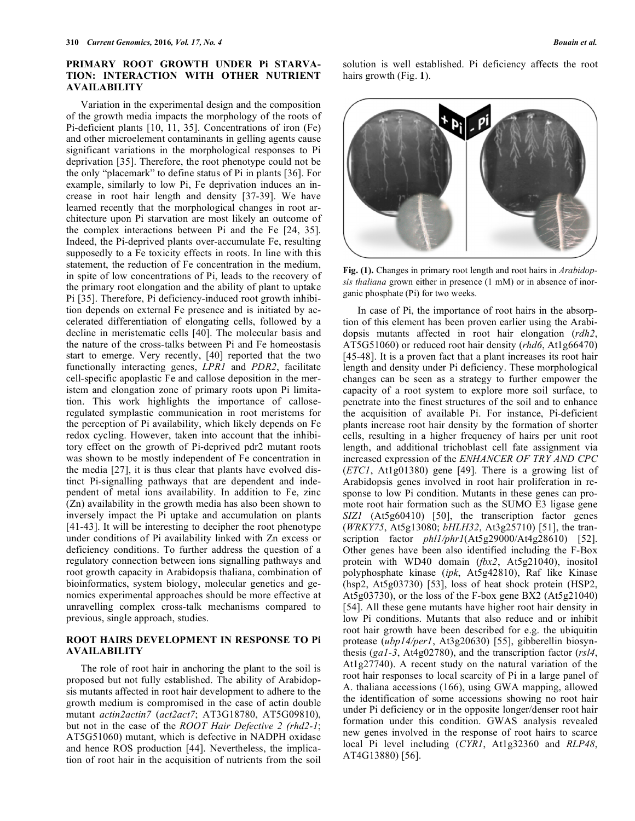### **PRIMARY ROOT GROWTH UNDER Pi STARVA-TION: INTERACTION WITH OTHER NUTRIENT AVAILABILITY**

 Variation in the experimental design and the composition of the growth media impacts the morphology of the roots of Pi-deficient plants [10, 11, 35]. Concentrations of iron (Fe) and other microelement contaminants in gelling agents cause significant variations in the morphological responses to Pi deprivation [35]. Therefore, the root phenotype could not be the only "placemark" to define status of Pi in plants [36]. For example, similarly to low Pi, Fe deprivation induces an increase in root hair length and density [37-39]. We have learned recently that the morphological changes in root architecture upon Pi starvation are most likely an outcome of the complex interactions between Pi and the Fe [24, 35]. Indeed, the Pi-deprived plants over-accumulate Fe, resulting supposedly to a Fe toxicity effects in roots. In line with this statement, the reduction of Fe concentration in the medium, in spite of low concentrations of Pi, leads to the recovery of the primary root elongation and the ability of plant to uptake Pi [35]. Therefore, Pi deficiency-induced root growth inhibition depends on external Fe presence and is initiated by accelerated differentiation of elongating cells, followed by a decline in meristematic cells [40]. The molecular basis and the nature of the cross-talks between Pi and Fe homeostasis start to emerge. Very recently, [40] reported that the two functionally interacting genes, *LPR1* and *PDR2*, facilitate cell-specific apoplastic Fe and callose deposition in the meristem and elongation zone of primary roots upon Pi limitation. This work highlights the importance of calloseregulated symplastic communication in root meristems for the perception of Pi availability, which likely depends on Fe redox cycling. However, taken into account that the inhibitory effect on the growth of Pi-deprived pdr2 mutant roots was shown to be mostly independent of Fe concentration in the media [27], it is thus clear that plants have evolved distinct Pi-signalling pathways that are dependent and independent of metal ions availability. In addition to Fe, zinc (Zn) availability in the growth media has also been shown to inversely impact the Pi uptake and accumulation on plants [41-43]. It will be interesting to decipher the root phenotype under conditions of Pi availability linked with Zn excess or deficiency conditions. To further address the question of a regulatory connection between ions signalling pathways and root growth capacity in Arabidopsis thaliana, combination of bioinformatics, system biology, molecular genetics and genomics experimental approaches should be more effective at unravelling complex cross-talk mechanisms compared to previous, single approach, studies.

### **ROOT HAIRS DEVELOPMENT IN RESPONSE TO Pi AVAILABILITY**

 The role of root hair in anchoring the plant to the soil is proposed but not fully established. The ability of Arabidopsis mutants affected in root hair development to adhere to the growth medium is compromised in the case of actin double mutant *actin2actin7* (*act2act7*; AT3G18780, AT5G09810), but not in the case of the *ROOT Hair Defective 2 (rhd2-1*; AT5G51060) mutant, which is defective in NADPH oxidase and hence ROS production [44]. Nevertheless, the implication of root hair in the acquisition of nutrients from the soil solution is well established. Pi deficiency affects the root hairs growth (Fig. **1**).



**Fig. (1).** Changes in primary root length and root hairs in *Arabidopsis thaliana* grown either in presence (1 mM) or in absence of inorganic phosphate (Pi) for two weeks.

 In case of Pi, the importance of root hairs in the absorption of this element has been proven earlier using the Arabidopsis mutants affected in root hair elongation (*rdh2*, AT5G51060) or reduced root hair density (*rhd6*, At1g66470) [45-48]. It is a proven fact that a plant increases its root hair length and density under Pi deficiency. These morphological changes can be seen as a strategy to further empower the capacity of a root system to explore more soil surface, to penetrate into the finest structures of the soil and to enhance the acquisition of available Pi. For instance, Pi-deficient plants increase root hair density by the formation of shorter cells, resulting in a higher frequency of hairs per unit root length, and additional trichoblast cell fate assignment via increased expression of the *ENHANCER OF TRY AND CPC* (*ETC1*, At1g01380) gene [49]. There is a growing list of Arabidopsis genes involved in root hair proliferation in response to low Pi condition. Mutants in these genes can promote root hair formation such as the SUMO E3 ligase gene *SIZ1* (At5g60410) [50], the transcription factor genes (*WRKY75*, At5g13080; *bHLH32*, At3g25710) [51], the transcription factor *phll/phrl*(At5g29000/At4g28610) [52]. Other genes have been also identified including the F-Box protein with WD40 domain (*fbx2*, At5g21040), inositol polyphosphate kinase (*ipk*, At5g42810), Raf like Kinase (hsp2, At5g03730) [53], loss of heat shock protein (HSP2, At5g03730), or the loss of the F-box gene BX2 (At5g21040) [54]. All these gene mutants have higher root hair density in low Pi conditions. Mutants that also reduce and or inhibit root hair growth have been described for e.g. the ubiquitin protease (*ubp14/per1*, At3g20630) [55], gibberellin biosynthesis (*ga1-3*, At4g02780), and the transcription factor (*rsl4*, At1g27740). A recent study on the natural variation of the root hair responses to local scarcity of Pi in a large panel of A. thaliana accessions (166), using GWA mapping, allowed the identification of some accessions showing no root hair under Pi deficiency or in the opposite longer/denser root hair formation under this condition. GWAS analysis revealed new genes involved in the response of root hairs to scarce local Pi level including (*CYR1*, At1g32360 and *RLP48*, AT4G13880) [56].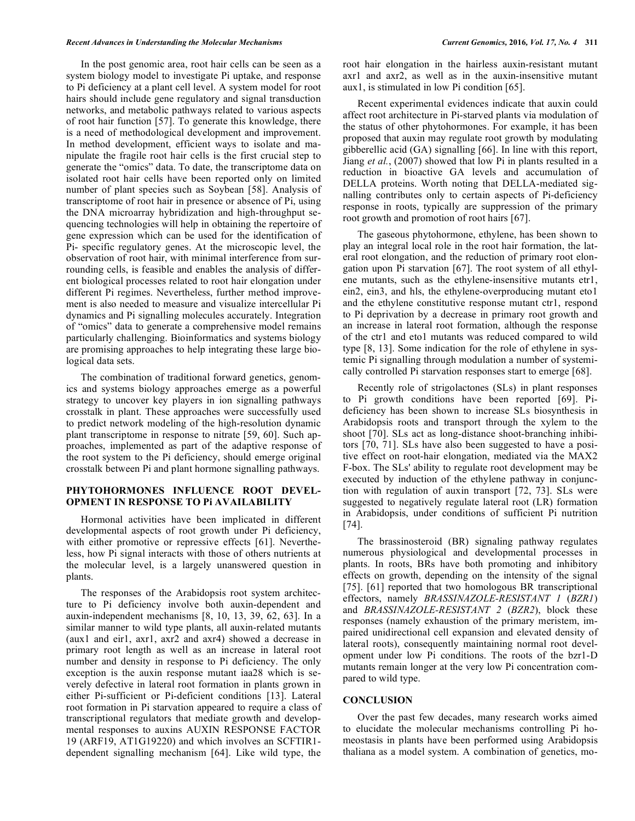#### *Recent Advances in Understanding the Molecular Mechanisms Current Genomics,* **2016***, Vol. 17, No. 4* **311**

 In the post genomic area, root hair cells can be seen as a system biology model to investigate Pi uptake, and response to Pi deficiency at a plant cell level. A system model for root hairs should include gene regulatory and signal transduction networks, and metabolic pathways related to various aspects of root hair function [57]. To generate this knowledge, there is a need of methodological development and improvement. In method development, efficient ways to isolate and manipulate the fragile root hair cells is the first crucial step to generate the "omics" data. To date, the transcriptome data on isolated root hair cells have been reported only on limited number of plant species such as Soybean [58]. Analysis of transcriptome of root hair in presence or absence of Pi, using the DNA microarray hybridization and high-throughput sequencing technologies will help in obtaining the repertoire of gene expression which can be used for the identification of Pi- specific regulatory genes. At the microscopic level, the observation of root hair, with minimal interference from surrounding cells, is feasible and enables the analysis of different biological processes related to root hair elongation under different Pi regimes. Nevertheless, further method improvement is also needed to measure and visualize intercellular Pi dynamics and Pi signalling molecules accurately. Integration of "omics" data to generate a comprehensive model remains particularly challenging. Bioinformatics and systems biology are promising approaches to help integrating these large biological data sets.

 The combination of traditional forward genetics, genomics and systems biology approaches emerge as a powerful strategy to uncover key players in ion signalling pathways crosstalk in plant. These approaches were successfully used to predict network modeling of the high-resolution dynamic plant transcriptome in response to nitrate [59, 60]. Such approaches, implemented as part of the adaptive response of the root system to the Pi deficiency, should emerge original crosstalk between Pi and plant hormone signalling pathways.

## **PHYTOHORMONES INFLUENCE ROOT DEVEL-OPMENT IN RESPONSE TO Pi AVAILABILITY**

 Hormonal activities have been implicated in different developmental aspects of root growth under Pi deficiency, with either promotive or repressive effects [61]. Nevertheless, how Pi signal interacts with those of others nutrients at the molecular level, is a largely unanswered question in plants.

 The responses of the Arabidopsis root system architecture to Pi deficiency involve both auxin-dependent and auxin-independent mechanisms [8, 10, 13, 39, 62, 63]. In a similar manner to wild type plants, all auxin-related mutants (aux1 and eir1, axr1, axr2 and axr4) showed a decrease in primary root length as well as an increase in lateral root number and density in response to Pi deficiency. The only exception is the auxin response mutant iaa28 which is severely defective in lateral root formation in plants grown in either Pi-sufficient or Pi-deficient conditions [13]. Lateral root formation in Pi starvation appeared to require a class of transcriptional regulators that mediate growth and developmental responses to auxins AUXIN RESPONSE FACTOR 19 (ARF19, AT1G19220) and which involves an SCFTIR1 dependent signalling mechanism [64]. Like wild type, the

root hair elongation in the hairless auxin-resistant mutant axr1 and axr2, as well as in the auxin-insensitive mutant aux1, is stimulated in low Pi condition [65].

 Recent experimental evidences indicate that auxin could affect root architecture in Pi-starved plants via modulation of the status of other phytohormones. For example, it has been proposed that auxin may regulate root growth by modulating gibberellic acid (GA) signalling [66]. In line with this report, Jiang *et al.*, (2007) showed that low Pi in plants resulted in a reduction in bioactive GA levels and accumulation of DELLA proteins. Worth noting that DELLA-mediated signalling contributes only to certain aspects of Pi-deficiency response in roots, typically are suppression of the primary root growth and promotion of root hairs [67].

 The gaseous phytohormone, ethylene, has been shown to play an integral local role in the root hair formation, the lateral root elongation, and the reduction of primary root elongation upon Pi starvation [67]. The root system of all ethylene mutants, such as the ethylene-insensitive mutants etr1, ein2, ein3, and hls, the ethylene-overproducing mutant eto1 and the ethylene constitutive response mutant ctr1, respond to Pi deprivation by a decrease in primary root growth and an increase in lateral root formation, although the response of the ctr1 and eto1 mutants was reduced compared to wild type [8, 13]. Some indication for the role of ethylene in systemic Pi signalling through modulation a number of systemically controlled Pi starvation responses start to emerge [68].

 Recently role of strigolactones (SLs) in plant responses to Pi growth conditions have been reported [69]. Pideficiency has been shown to increase SLs biosynthesis in Arabidopsis roots and transport through the xylem to the shoot [70]. SLs act as long-distance shoot-branching inhibitors [70, 71]. SLs have also been suggested to have a positive effect on root-hair elongation, mediated via the MAX2 F-box. The SLs' ability to regulate root development may be executed by induction of the ethylene pathway in conjunction with regulation of auxin transport [72, 73]. SLs were suggested to negatively regulate lateral root (LR) formation in Arabidopsis, under conditions of sufficient Pi nutrition [74].

 The brassinosteroid (BR) signaling pathway regulates numerous physiological and developmental processes in plants. In roots, BRs have both promoting and inhibitory effects on growth, depending on the intensity of the signal [75]. [61] reported that two homologous BR transcriptional effectors, namely *BRASSINAZOLE-RESISTANT 1* (*BZR1*) and *BRASSINAZOLE-RESISTANT 2* (*BZR2*), block these responses (namely exhaustion of the primary meristem, impaired unidirectional cell expansion and elevated density of lateral roots), consequently maintaining normal root development under low Pi conditions. The roots of the bzr1-D mutants remain longer at the very low Pi concentration compared to wild type.

### **CONCLUSION**

 Over the past few decades, many research works aimed to elucidate the molecular mechanisms controlling Pi homeostasis in plants have been performed using Arabidopsis thaliana as a model system. A combination of genetics, mo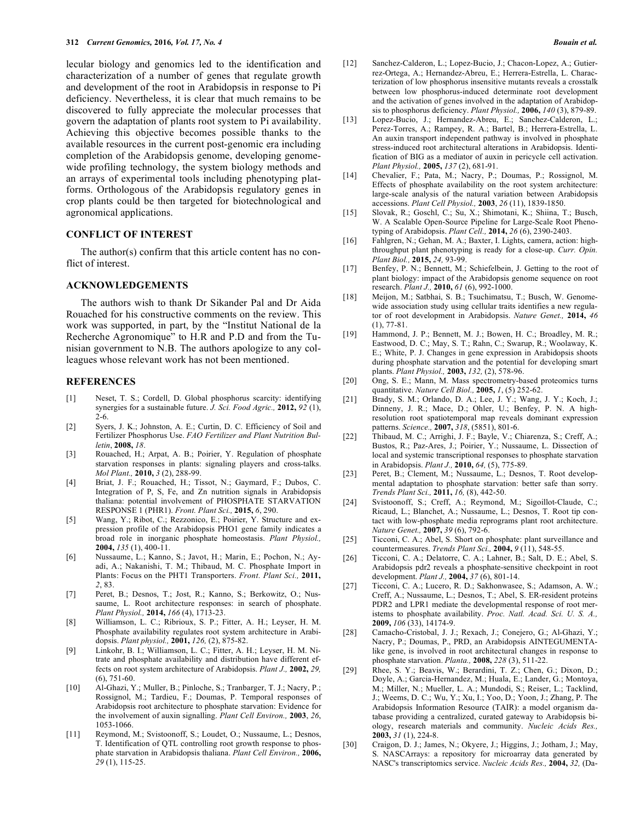lecular biology and genomics led to the identification and characterization of a number of genes that regulate growth and development of the root in Arabidopsis in response to Pi deficiency. Nevertheless, it is clear that much remains to be discovered to fully appreciate the molecular processes that govern the adaptation of plants root system to Pi availability. Achieving this objective becomes possible thanks to the available resources in the current post-genomic era including completion of the Arabidopsis genome, developing genomewide profiling technology, the system biology methods and an arrays of experimental tools including phenotyping platforms. Orthologous of the Arabidopsis regulatory genes in crop plants could be then targeted for biotechnological and agronomical applications.

### **CONFLICT OF INTEREST**

 The author(s) confirm that this article content has no conflict of interest.

### **ACKNOWLEDGEMENTS**

 The authors wish to thank Dr Sikander Pal and Dr Aida Rouached for his constructive comments on the review. This work was supported, in part, by the "Institut National de la Recherche Agronomique" to H.R and P.D and from the Tunisian government to N.B. The authors apologize to any colleagues whose relevant work has not been mentioned.

### **REFERENCES**

- [1] Neset, T. S.; Cordell, D. Global phosphorus scarcity: identifying synergies for a sustainable future. *J. Sci. Food Agric.,* **2012,** *92* (1), 2-6.
- [2] Syers, J. K.; Johnston, A. E.; Curtin, D. C. Efficiency of Soil and Fertilizer Phosphorus Use. *FAO Fertilizer and Plant Nutrition Bulletin*, **2008,** *18*.
- [3] Rouached, H.; Arpat, A. B.; Poirier, Y. Regulation of phosphate starvation responses in plants: signaling players and cross-talks. *Mol Plant.,* **2010,** *3* (2), 288-99.
- [4] Briat, J. F.; Rouached, H.; Tissot, N.; Gaymard, F.; Dubos, C. Integration of P, S, Fe, and Zn nutrition signals in Arabidopsis thaliana: potential involvement of PHOSPHATE STARVATION RESPONSE 1 (PHR1). *Front. Plant Sci.,* **2015,** *6*, 290.
- [5] Wang, Y.; Ribot, C.; Rezzonico, E.; Poirier, Y. Structure and expression profile of the Arabidopsis PHO1 gene family indicates a broad role in inorganic phosphate homeostasis. *Plant Physiol.,* **2004,** *135* (1), 400-11.
- [6] Nussaume, L.; Kanno, S.; Javot, H.; Marin, E.; Pochon, N.; Ayadi, A.; Nakanishi, T. M.; Thibaud, M. C. Phosphate Import in Plants: Focus on the PHT1 Transporters. *Front. Plant Sci.,* **2011,** *2*, 83.
- [7] Peret, B.; Desnos, T.; Jost, R.; Kanno, S.; Berkowitz, O.; Nussaume, L. Root architecture responses: in search of phosphate. *Plant Physiol.,* **2014,** *166* (4), 1713-23.
- [8] Williamson, L. C.; Ribrioux, S. P.; Fitter, A. H.; Leyser, H. M. Phosphate availability regulates root system architecture in Arabidopsis. *Plant physiol.,* **2001,** *126,* (2), 875-82.
- [9] Linkohr, B. I.; Williamson, L. C.; Fitter, A. H.; Leyser, H. M. Nitrate and phosphate availability and distribution have different effects on root system architecture of Arabidopsis. *Plant J.,* **2002,** *29,*  (6), 751-60.
- [10] Al-Ghazi, Y.; Muller, B.; Pinloche, S.; Tranbarger, T. J.; Nacry, P.; Rossignol, M.; Tardieu, F.; Doumas, P. Temporal responses of Arabidopsis root architecture to phosphate starvation: Evidence for the involvement of auxin signalling. *Plant Cell Environ.,* **2003**, *26*, 1053-1066.
- [11] Reymond, M.; Svistoonoff, S.; Loudet, O.; Nussaume, L.; Desnos, T. Identification of QTL controlling root growth response to phosphate starvation in Arabidopsis thaliana. *Plant Cell Environ.,* **2006,** *29* (1), 115-25.
- [12] Sanchez-Calderon, L.; Lopez-Bucio, J.; Chacon-Lopez, A.; Gutierrez-Ortega, A.; Hernandez-Abreu, E.; Herrera-Estrella, L. Characterization of low phosphorus insensitive mutants reveals a crosstalk between low phosphorus-induced determinate root development and the activation of genes involved in the adaptation of Arabidopsis to phosphorus deficiency. *Plant Physiol.,* **2006,** *140* (3), 879-89.
- [13] Lopez-Bucio, J.; Hernandez-Abreu, E.; Sanchez-Calderon, L.; Perez-Torres, A.; Rampey, R. A.; Bartel, B.; Herrera-Estrella, L. An auxin transport independent pathway is involved in phosphate stress-induced root architectural alterations in Arabidopsis. Identification of BIG as a mediator of auxin in pericycle cell activation. *Plant Physiol.,* **2005,** *137* (2), 681-91.
- [14] Chevalier, F.; Pata, M.; Nacry, P.; Doumas, P.; Rossignol, M. Effects of phosphate availability on the root system architecture: large-scale analysis of the natural variation between Arabidopsis accessions. *Plant Cell Physiol.,* **2003**, *26* (11), 1839-1850.
- [15] Slovak, R.; Goschl, C.; Su, X.; Shimotani, K.; Shiina, T.; Busch, W. A Scalable Open-Source Pipeline for Large-Scale Root Phenotyping of Arabidopsis. *Plant Cell.,* **2014,** *26* (6), 2390-2403.
- [16] Fahlgren, N.; Gehan, M. A.; Baxter, I. Lights, camera, action: highthroughput plant phenotyping is ready for a close-up. *Curr. Opin. Plant Biol.,* **2015,** *24,* 93-99.
- [17] Benfey, P. N.; Bennett, M.; Schiefelbein, J. Getting to the root of plant biology: impact of the Arabidopsis genome sequence on root research. *Plant J.,* **2010,** *61* (6), 992-1000.
- [18] Meijon, M.; Satbhai, S. B.; Tsuchimatsu, T.; Busch, W. Genomewide association study using cellular traits identifies a new regulator of root development in Arabidopsis. *Nature Genet.,* **2014,** *46* (1), 77-81.
- [19] Hammond, J. P.; Bennett, M. J.; Bowen, H. C.; Broadley, M. R.; Eastwood, D. C.; May, S. T.; Rahn, C.; Swarup, R.; Woolaway, K. E.; White, P. J. Changes in gene expression in Arabidopsis shoots during phosphate starvation and the potential for developing smart plants. *Plant Physiol.,* **2003,** *132,* (2), 578-96.
- [20] Ong, S. E.; Mann, M. Mass spectrometry-based proteomics turns quantitative. *Nature Cell Biol.,* **2005,** *1*, (5) 252-62.
- [21] Brady, S. M.; Orlando, D. A.; Lee, J. Y.; Wang, J. Y.; Koch, J.; Dinneny, J. R.; Mace, D.; Ohler, U.; Benfey, P. N. A highresolution root spatiotemporal map reveals dominant expression patterns. *Science.,* **2007,** *318*, (5851), 801-6.
- [22] Thibaud, M. C.; Arrighi, J. F.; Bayle, V.; Chiarenza, S.; Creff, A.; Bustos, R.; Paz-Ares, J.; Poirier, Y.; Nussaume, L. Dissection of local and systemic transcriptional responses to phosphate starvation in Arabidopsis. *Plant J.,* **2010,** *64,* (5), 775-89.
- [23] Peret, B.; Clement, M.; Nussaume, L.; Desnos, T. Root developmental adaptation to phosphate starvation: better safe than sorry. *Trends Plant Sci.,* **2011,** *16,* (8), 442-50.
- [24] Svistoonoff, S.; Creff, A.; Reymond, M.; Sigoillot-Claude, C.; Ricaud, L.; Blanchet, A.; Nussaume, L.; Desnos, T. Root tip contact with low-phosphate media reprograms plant root architecture. *Nature Genet.,* **2007,** *39* (6), 792-6.
- [25] Ticconi, C. A.; Abel, S. Short on phosphate: plant surveillance and countermeasures. *Trends Plant Sci.,* **2004,** *9* (11), 548-55.
- [26] Ticconi, C. A.; Delatorre, C. A.; Lahner, B.; Salt, D. E.; Abel, S. Arabidopsis pdr2 reveals a phosphate-sensitive checkpoint in root development. *Plant J.,* **2004,** *37* (6), 801-14.
- [27] Ticconi, C. A.; Lucero, R. D.; Sakhonwasee, S.; Adamson, A. W.; Creff, A.; Nussaume, L.; Desnos, T.; Abel, S. ER-resident proteins PDR2 and LPR1 mediate the developmental response of root meristems to phosphate availability. *Proc. Natl. Acad. Sci. U. S. A.,* **2009,** *106* (33), 14174-9.
- [28] Camacho-Cristobal, J. J.; Rexach, J.; Conejero, G.; Al-Ghazi, Y.; Nacry, P.; Doumas, P., PRD, an Arabidopsis AINTEGUMENTAlike gene, is involved in root architectural changes in response to phosphate starvation. *Planta.,* **2008,** *228* (3), 511-22.
- [29] Rhee, S. Y.; Beavis, W.; Berardini, T. Z.; Chen, G.; Dixon, D.; Doyle, A.; Garcia-Hernandez, M.; Huala, E.; Lander, G.; Montoya, M.; Miller, N.; Mueller, L. A.; Mundodi, S.; Reiser, L.; Tacklind, J.; Weems, D. C.; Wu, Y.; Xu, I.; Yoo, D.; Yoon, J.; Zhang, P. The Arabidopsis Information Resource (TAIR): a model organism database providing a centralized, curated gateway to Arabidopsis biology, research materials and community. *Nucleic Acids Res.,* **2003,** *31* (1), 224-8.
- [30] Craigon, D. J.; James, N.; Okyere, J.; Higgins, J.; Jotham, J.; May, S. NASCArrays: a repository for microarray data generated by NASC's transcriptomics service. *Nucleic Acids Res.,* **2004,** *32,* (Da-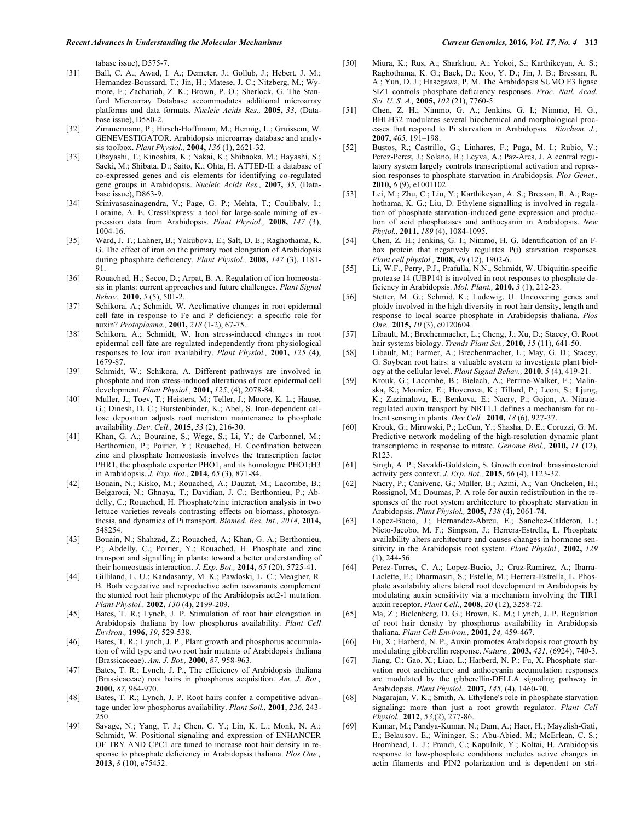tabase issue), D575-7.

- [31] Ball, C. A.; Awad, I. A.; Demeter, J.; Gollub, J.; Hebert, J. M.; Hernandez-Boussard, T.; Jin, H.; Matese, J. C.; Nitzberg, M.; Wymore, F.; Zachariah, Z. K.; Brown, P. O.; Sherlock, G. The Stanford Microarray Database accommodates additional microarray platforms and data formats. *Nucleic Acids Res.,* **2005,** *33*, (Database issue), D580-2.
- [32] Zimmermann, P.; Hirsch-Hoffmann, M.; Hennig, L.; Gruissem, W. GENEVESTIGATOR. Arabidopsis microarray database and analysis toolbox. *Plant Physiol.,* **2004,** *136* (1), 2621-32.
- [33] Obayashi, T.; Kinoshita, K.; Nakai, K.; Shibaoka, M.; Hayashi, S.; Saeki, M.; Shibata, D.; Saito, K.; Ohta, H. ATTED-II: a database of co-expressed genes and cis elements for identifying co-regulated gene groups in Arabidopsis. *Nucleic Acids Res.,* **2007,** *35,* (Database issue), D863-9.
- [34] Srinivasasainagendra, V.; Page, G. P.; Mehta, T.; Coulibaly, I.; Loraine, A. E. CressExpress: a tool for large-scale mining of expression data from Arabidopsis. *Plant Physiol.,* **2008,** *147* (3), 1004-16.
- [35] Ward, J. T.; Lahner, B.; Yakubova, E.; Salt, D. E.; Raghothama, K. G. The effect of iron on the primary root elongation of Arabidopsis during phosphate deficiency. *Plant Physiol.,* **2008,** *147* (3), 1181- 91.
- [36] Rouached, H.; Secco, D.; Arpat, B. A. Regulation of ion homeostasis in plants: current approaches and future challenges. *Plant Signal Behav.,* **2010,** *5* (5), 501-2.
- [37] Schikora, A.; Schmidt, W. Acclimative changes in root epidermal cell fate in response to Fe and P deficiency: a specific role for auxin? *Protoplasma.,* **2001,** *218* (1-2), 67-75.
- [38] Schikora, A.; Schmidt, W. Iron stress-induced changes in root epidermal cell fate are regulated independently from physiological responses to low iron availability. *Plant Physiol.,* **2001,** *125* (4), 1679-87.
- [39] Schmidt, W.; Schikora, A. Different pathways are involved in phosphate and iron stress-induced alterations of root epidermal cell development. *Plant Physiol.,* **2001,** *125*, (4), 2078-84.
- [40] Muller, J.; Toev, T.; Heisters, M.; Teller, J.; Moore, K. L.; Hause, G.; Dinesh, D. C.; Burstenbinder, K.; Abel, S. Iron-dependent callose deposition adjusts root meristem maintenance to phosphate availability. *Dev. Cell.,* **2015,** *33* (2), 216-30.
- [41] Khan, G. A.; Bouraine, S.; Wege, S.; Li, Y.; de Carbonnel, M.; Berthomieu, P.; Poirier, Y.; Rouached, H. Coordination between zinc and phosphate homeostasis involves the transcription factor PHR1, the phosphate exporter PHO1, and its homologue PHO1; H3 in Arabidopsis. *J. Exp. Bot.,* **2014,** *65* (3), 871-84.
- [42] Bouain, N.; Kisko, M.; Rouached, A.; Dauzat, M.; Lacombe, B.; Belgaroui, N.; Ghnaya, T.; Davidian, J. C.; Berthomieu, P.; Abdelly, C.; Rouached, H. Phosphate/zinc interaction analysis in two lettuce varieties reveals contrasting effects on biomass, photosynthesis, and dynamics of Pi transport. *Biomed. Res. Int., 2014,* **2014,** 548254.
- [43] Bouain, N.; Shahzad, Z.; Rouached, A.; Khan, G. A.; Berthomieu, P.; Abdelly, C.; Poirier, Y.; Rouached, H. Phosphate and zinc transport and signalling in plants: toward a better understanding of their homeostasis interaction. *J. Exp. Bot.,* **2014,** *65* (20), 5725-41.
- [44] Gilliland, L. U.; Kandasamy, M. K.; Pawloski, L. C.; Meagher, R. B. Both vegetative and reproductive actin isovariants complement the stunted root hair phenotype of the Arabidopsis act2-1 mutation. *Plant Physiol.,* **2002,** *130* (4), 2199-209.
- [45] Bates, T. R.; Lynch, J. P. Stimulation of root hair elongation in Arabidopsis thaliana by low phosphorus availability. *Plant Cell Environ.,* **1996,** *19*, 529-538.
- [46] Bates, T. R.; Lynch, J. P., Plant growth and phosphorus accumulation of wild type and two root hair mutants of Arabidopsis thaliana (Brassicaceae). *Am. J. Bot.,* **2000,** *87,* 958-963.
- [47] Bates, T. R.; Lynch, J. P., The efficiency of Arabidopsis thaliana (Brassicaceae) root hairs in phosphorus acquisition. *Am. J. Bot.,* **2000,** *87*, 964-970.
- [48] Bates, T. R.; Lynch, J. P. Root hairs confer a competitive advantage under low phosphorus availability. *Plant Soil.,* **2001**, *236,* 243- 250.
- [49] Savage, N.; Yang, T. J.; Chen, C. Y.; Lin, K. L.; Monk, N. A.; Schmidt, W. Positional signaling and expression of ENHANCER OF TRY AND CPC1 are tuned to increase root hair density in response to phosphate deficiency in Arabidopsis thaliana. *Plos One.,* **2013,** *8* (10), e75452.
- [50] Miura, K.; Rus, A.; Sharkhuu, A.; Yokoi, S.; Karthikeyan, A. S.; Raghothama, K. G.; Baek, D.; Koo, Y. D.; Jin, J. B.; Bressan, R. A.; Yun, D. J.; Hasegawa, P. M. The Arabidopsis SUMO E3 ligase SIZ1 controls phosphate deficiency responses. *Proc. Natl. Acad. Sci. U. S. A.,* **2005,** *102* (21), 7760-5.
- [51] Chen, Z. H.; Nimmo, G. A.; Jenkins, G. I.; Nimmo, H. G., BHLH32 modulates several biochemical and morphological processes that respond to Pi starvation in Arabidopsis. *Biochem. J.,* **2007,** *405,* 191–198.
- [52] Bustos, R.; Castrillo, G.; Linhares, F.; Puga, M. I.; Rubio, V.; Perez-Perez, J.; Solano, R.; Leyva, A.; Paz-Ares, J. A central regulatory system largely controls transcriptional activation and repression responses to phosphate starvation in Arabidopsis. *Plos Genet.,* **2010,** *6* (9), e1001102.
- [53] Lei, M.; Zhu, C.; Liu, Y.; Karthikeyan, A. S.; Bressan, R. A.; Raghothama, K. G.; Liu, D. Ethylene signalling is involved in regulation of phosphate starvation-induced gene expression and production of acid phosphatases and anthocyanin in Arabidopsis. *New Phytol.,* **2011,** *189* (4), 1084-1095.
- [54] Chen, Z. H.; Jenkins, G. I.; Nimmo, H. G. Identification of an Fbox protein that negatively regulates P(i) starvation responses. *Plant cell physiol.,* **2008,** *49* (12), 1902-6.
- [55] Li, W.F., Perry, P.J., Prafulla, N.N., Schmidt, W. Ubiquitin-specific protease 14 (UBP14) is involved in root responses to phosphate deficiency in Arabidopsis. *Mol. Plant.,* **2010,** *3* (1), 212-23.
- [56] Stetter, M. G.; Schmid, K.; Ludewig, U. Uncovering genes and ploidy involved in the high diversity in root hair density, length and response to local scarce phosphate in Arabidopsis thaliana. *Plos One.,* **2015,** *10* (3), e0120604.
- [57] Libault, M.; Brechenmacher, L.; Cheng, J.; Xu, D.; Stacey, G. Root hair systems biology. *Trends Plant Sci.,* **2010,** *15* (11), 641-50.
- [58] Libault, M.; Farmer, A.; Brechenmacher, L.; May, G. D.; Stacey, G. Soybean root hairs: a valuable system to investigate plant biology at the cellular level. *Plant Signal Behav.,* **2010**, *5* (4), 419-21.
- [59] Krouk, G.; Lacombe, B.; Bielach, A.; Perrine-Walker, F.; Malinska, K.; Mounier, E.; Hoyerova, K.; Tillard, P.; Leon, S.; Ljung, K.; Zazimalova, E.; Benkova, E.; Nacry, P.; Gojon, A. Nitrateregulated auxin transport by NRT1.1 defines a mechanism for nutrient sensing in plants. *Dev Cell.,* **2010,** *18* (6), 927-37.
- [60] Krouk, G.; Mirowski, P.; LeCun, Y.; Shasha, D. E.; Coruzzi, G. M. Predictive network modeling of the high-resolution dynamic plant transcriptome in response to nitrate. *Genome Biol.,* **2010,** *11* (12), R123.
- [61] Singh, A. P.; Savaldi-Goldstein, S. Growth control: brassinosteroid activity gets context. *J. Exp. Bot.,* **2015,** *66* (4), 1123-32.
- [62] Nacry, P.; Canivenc, G.; Muller, B.; Azmi, A.; Van Onckelen, H.; Rossignol, M.; Doumas, P. A role for auxin redistribution in the responses of the root system architecture to phosphate starvation in Arabidopsis. *Plant Physiol.,* **2005,** *138* (4), 2061-74.
- [63] Lopez-Bucio, J.; Hernandez-Abreu, E.; Sanchez-Calderon, L.; Nieto-Jacobo, M. F.; Simpson, J.; Herrera-Estrella, L. Phosphate availability alters architecture and causes changes in hormone sensitivity in the Arabidopsis root system. *Plant Physiol.,* **2002,** *129*   $(1)$ , 244-56.
- [64] Perez-Torres, C. A.; Lopez-Bucio, J.; Cruz-Ramirez, A.; Ibarra-Laclette, E.; Dharmasiri, S.; Estelle, M.; Herrera-Estrella, L. Phosphate availability alters lateral root development in Arabidopsis by modulating auxin sensitivity via a mechanism involving the TIR1 auxin receptor. *Plant Cell.,* **2008,** *20* (12), 3258-72.
- [65] Ma, Z.; Bielenberg, D. G.; Brown, K. M.; Lynch, J. P. Regulation of root hair density by phosphorus availability in Arabidopsis thaliana. *Plant Cell Environ.,* **2001,** *24,* 459-467.
- [66] Fu, X.; Harberd, N. P., Auxin promotes Arabidopsis root growth by modulating gibberellin response. *Nature.,* **2003,** *421,* (6924), 740-3.
- [67] Jiang, C.; Gao, X.; Liao, L.; Harberd, N. P.; Fu, X. Phosphate starvation root architecture and anthocyanin accumulation responses are modulated by the gibberellin-DELLA signaling pathway in Arabidopsis. *Plant Physiol.,* **2007,** *145,* (4), 1460-70.
- [68] Nagarajan, V. K.; Smith, A. Ethylene's role in phosphate starvation signaling: more than just a root growth regulator. *Plant Cell Physiol.,* **2012**, *53*,(2), 277-86.
- [69] Kumar, M.; Pandya-Kumar, N.; Dam, A.; Haor, H.; Mayzlish-Gati, E.; Belausov, E.; Wininger, S.; Abu-Abied, M.; McErlean, C. S.; Bromhead, L. J.; Prandi, C.; Kapulnik, Y.; Koltai, H. Arabidopsis response to low-phosphate conditions includes active changes in actin filaments and PIN2 polarization and is dependent on stri-